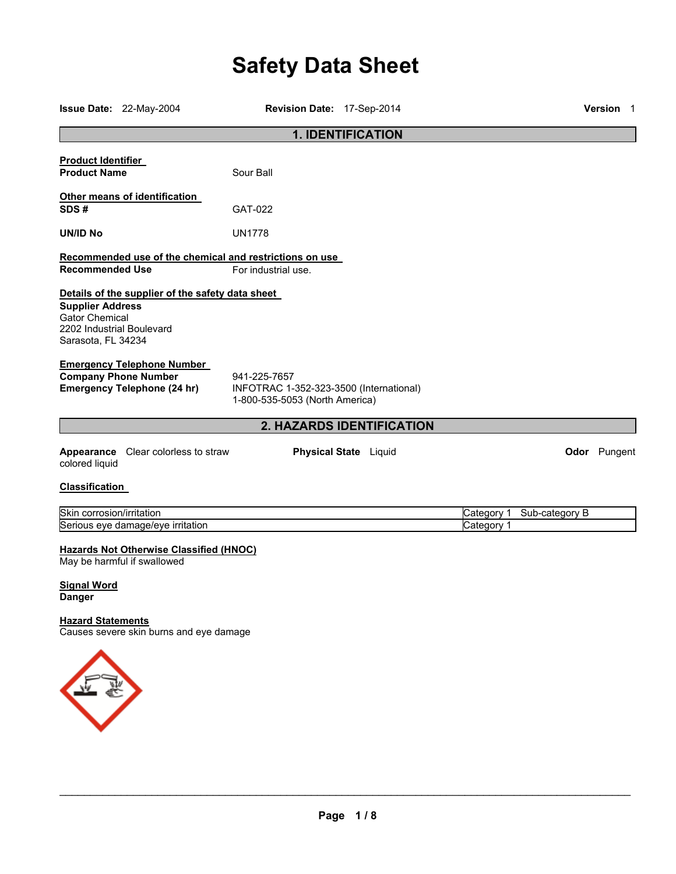# **Safety Data Sheet**

|                                                                                                     | Issue Date: 22-May-2004                                                                                | Revision Date: 17-Sep-2014                                                                |                              |                          |                | <b>Version 1</b> |
|-----------------------------------------------------------------------------------------------------|--------------------------------------------------------------------------------------------------------|-------------------------------------------------------------------------------------------|------------------------------|--------------------------|----------------|------------------|
|                                                                                                     |                                                                                                        |                                                                                           | <b>1. IDENTIFICATION</b>     |                          |                |                  |
| <b>Product Identifier</b><br><b>Product Name</b>                                                    |                                                                                                        | Sour Ball                                                                                 |                              |                          |                |                  |
| SDS#                                                                                                | Other means of identification                                                                          | GAT-022                                                                                   |                              |                          |                |                  |
| <b>UN/ID No</b>                                                                                     |                                                                                                        | <b>UN1778</b>                                                                             |                              |                          |                |                  |
| <b>Recommended Use</b>                                                                              |                                                                                                        | Recommended use of the chemical and restrictions on use<br>For industrial use.            |                              |                          |                |                  |
| <b>Supplier Address</b><br><b>Gator Chemical</b><br>2202 Industrial Boulevard<br>Sarasota, FL 34234 | Details of the supplier of the safety data sheet                                                       |                                                                                           |                              |                          |                |                  |
|                                                                                                     | <b>Emergency Telephone Number</b><br><b>Company Phone Number</b><br><b>Emergency Telephone (24 hr)</b> | 941-225-7657<br>INFOTRAC 1-352-323-3500 (International)<br>1-800-535-5053 (North America) |                              |                          |                |                  |
|                                                                                                     |                                                                                                        |                                                                                           | 2. HAZARDS IDENTIFICATION    |                          |                |                  |
| colored liquid                                                                                      | <b>Appearance</b> Clear colorless to straw                                                             |                                                                                           | <b>Physical State</b> Liquid |                          |                | Odor Pungent     |
| <b>Classification</b>                                                                               |                                                                                                        |                                                                                           |                              |                          |                |                  |
| Skin corrosion/irritation                                                                           | Serious eye damage/eye irritation                                                                      |                                                                                           |                              | Category 1<br>Category 1 | Sub-category B |                  |
| <b>Signal Word</b><br><b>Danger</b>                                                                 | <b>Hazards Not Otherwise Classified (HNOC)</b><br>May be harmful if swallowed                          |                                                                                           |                              |                          |                |                  |
| <b>Hazard Statements</b>                                                                            | Causes severe skin burns and eye damage                                                                |                                                                                           |                              |                          |                |                  |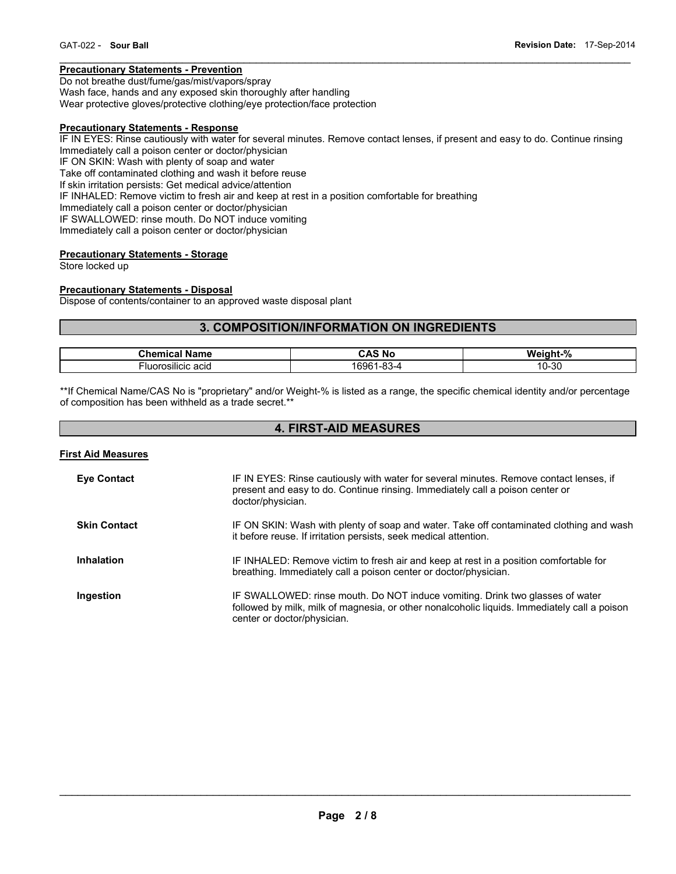# **Precautionary Statements - Prevention**

Do not breathe dust/fume/gas/mist/vapors/spray Wash face, hands and any exposed skin thoroughly after handling Wear protective gloves/protective clothing/eye protection/face protection

# **Precautionary Statements - Response**

IF IN EYES: Rinse cautiously with water for several minutes. Remove contact lenses, if present and easy to do. Continue rinsing Immediately call a poison center or doctor/physician IF ON SKIN: Wash with plenty of soap and water Take off contaminated clothing and wash it before reuse If skin irritation persists: Get medical advice/attention IF INHALED: Remove victim to fresh air and keep at rest in a position comfortable for breathing Immediately call a poison center or doctor/physician IF SWALLOWED: rinse mouth. Do NOT induce vomiting Immediately call a poison center or doctor/physician

 $\mathcal{L}_\mathcal{L} = \{ \mathcal{L}_\mathcal{L} = \{ \mathcal{L}_\mathcal{L} = \{ \mathcal{L}_\mathcal{L} = \{ \mathcal{L}_\mathcal{L} = \{ \mathcal{L}_\mathcal{L} = \{ \mathcal{L}_\mathcal{L} = \{ \mathcal{L}_\mathcal{L} = \{ \mathcal{L}_\mathcal{L} = \{ \mathcal{L}_\mathcal{L} = \{ \mathcal{L}_\mathcal{L} = \{ \mathcal{L}_\mathcal{L} = \{ \mathcal{L}_\mathcal{L} = \{ \mathcal{L}_\mathcal{L} = \{ \mathcal{L}_\mathcal{$ 

# **Precautionary Statements - Storage**

Store locked up

#### **Precautionary Statements - Disposal**

Dispose of contents/container to an approved waste disposal plant

# **3. COMPOSITION/INFORMATION ON INGREDIENTS**

| 'ham<br>Name<br>ا ہے۔       | $\overline{\phantom{a}}$<br>N0<br>$H - H$       | $\mathbf{o}$<br>We<br>-----<br>าnt<br>70 |
|-----------------------------|-------------------------------------------------|------------------------------------------|
| .<br>rosilicic acid<br>∙luc | o.<br>מחי:<br>.<br>. -റ.<br><b>D-4</b><br>טשט ' | -30<br>. ט                               |

\*\*If Chemical Name/CAS No is "proprietary" and/or Weight-% is listed as a range, the specific chemical identity and/or percentage of composition has been withheld as a trade secret.\*\*

# **4. FIRST-AID MEASURES**

## **First Aid Measures**

| <b>Eye Contact</b>  | IF IN EYES: Rinse cautiously with water for several minutes. Remove contact lenses, if<br>present and easy to do. Continue rinsing. Immediately call a poison center or<br>doctor/physician.                 |
|---------------------|--------------------------------------------------------------------------------------------------------------------------------------------------------------------------------------------------------------|
| <b>Skin Contact</b> | IF ON SKIN: Wash with plenty of soap and water. Take off contaminated clothing and wash<br>it before reuse. If irritation persists, seek medical attention.                                                  |
| Inhalation          | IF INHALED: Remove victim to fresh air and keep at rest in a position comfortable for<br>breathing. Immediately call a poison center or doctor/physician.                                                    |
| Ingestion           | IF SWALLOWED: rinse mouth. Do NOT induce vomiting. Drink two glasses of water<br>followed by milk, milk of magnesia, or other nonalcoholic liquids. Immediately call a poison<br>center or doctor/physician. |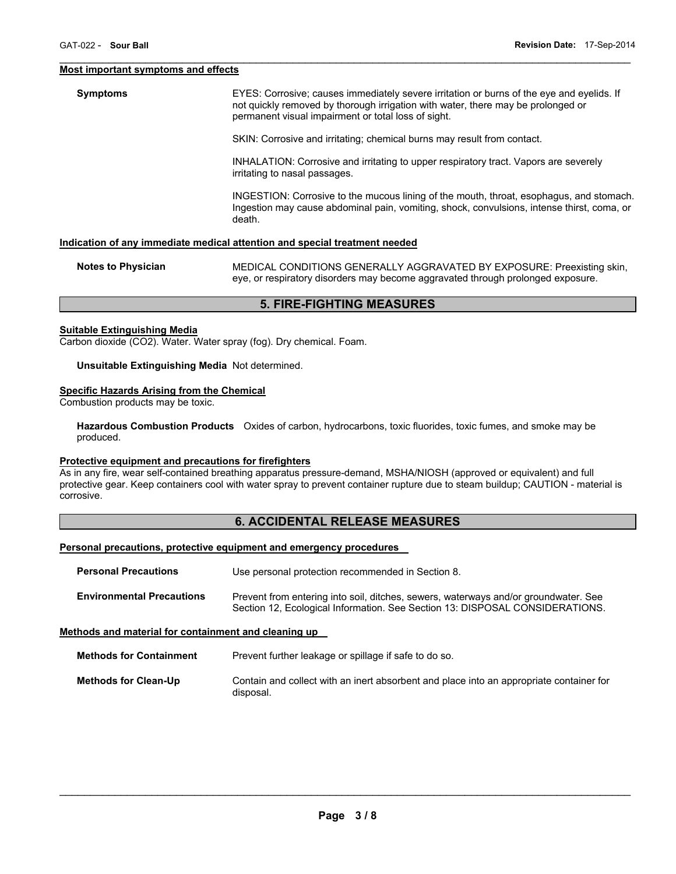#### **Most important symptoms and effects**

**Symptoms EXES:** Corrosive; causes immediately severe irritation or burns of the eye and eyelids. If not quickly removed by thorough irrigation with water, there may be prolonged or permanent visual impairment or total loss of sight.

 $\mathcal{L}_\mathcal{L} = \{ \mathcal{L}_\mathcal{L} = \{ \mathcal{L}_\mathcal{L} = \{ \mathcal{L}_\mathcal{L} = \{ \mathcal{L}_\mathcal{L} = \{ \mathcal{L}_\mathcal{L} = \{ \mathcal{L}_\mathcal{L} = \{ \mathcal{L}_\mathcal{L} = \{ \mathcal{L}_\mathcal{L} = \{ \mathcal{L}_\mathcal{L} = \{ \mathcal{L}_\mathcal{L} = \{ \mathcal{L}_\mathcal{L} = \{ \mathcal{L}_\mathcal{L} = \{ \mathcal{L}_\mathcal{L} = \{ \mathcal{L}_\mathcal{$ 

SKIN: Corrosive and irritating; chemical burns may result from contact.

INHALATION: Corrosive and irritating to upper respiratory tract. Vapors are severely irritating to nasal passages.

INGESTION: Corrosive to the mucous lining of the mouth, throat, esophagus, and stomach. Ingestion may cause abdominal pain, vomiting, shock, convulsions, intense thirst, coma, or death.

## **Indication of any immediate medical attention and special treatment needed**

**Notes to Physician** MEDICAL CONDITIONS GENERALLY AGGRAVATED BY EXPOSURE: Preexisting skin, eye, or respiratory disorders may become aggravated through prolonged exposure.

# **5. FIRE-FIGHTING MEASURES**

## **Suitable Extinguishing Media**

Carbon dioxide (CO2). Water. Water spray (fog). Dry chemical. Foam.

#### **Unsuitable Extinguishing Media** Not determined.

#### **Specific Hazards Arising from the Chemical**

Combustion products may be toxic.

**Hazardous Combustion Products** Oxides of carbon, hydrocarbons, toxic fluorides, toxic fumes, and smoke may be produced.

#### **Protective equipment and precautions for firefighters**

As in any fire, wear self-contained breathing apparatus pressure-demand, MSHA/NIOSH (approved or equivalent) and full protective gear. Keep containers cool with water spray to prevent container rupture due to steam buildup; CAUTION - material is corrosive.

# **6. ACCIDENTAL RELEASE MEASURES**

#### **Personal precautions, protective equipment and emergency procedures**

| <b>Personal Precautions</b>      | Use personal protection recommended in Section 8.                                                                                                                   |
|----------------------------------|---------------------------------------------------------------------------------------------------------------------------------------------------------------------|
| <b>Environmental Precautions</b> | Prevent from entering into soil, ditches, sewers, waterways and/or groundwater. See<br>Section 12, Ecological Information. See Section 13: DISPOSAL CONSIDERATIONS. |

## **Methods and material for containment and cleaning up**

| <b>Methods for Containment</b> | Prevent further leakage or spillage if safe to do so.                                                |
|--------------------------------|------------------------------------------------------------------------------------------------------|
| <b>Methods for Clean-Up</b>    | Contain and collect with an inert absorbent and place into an appropriate container for<br>disposal. |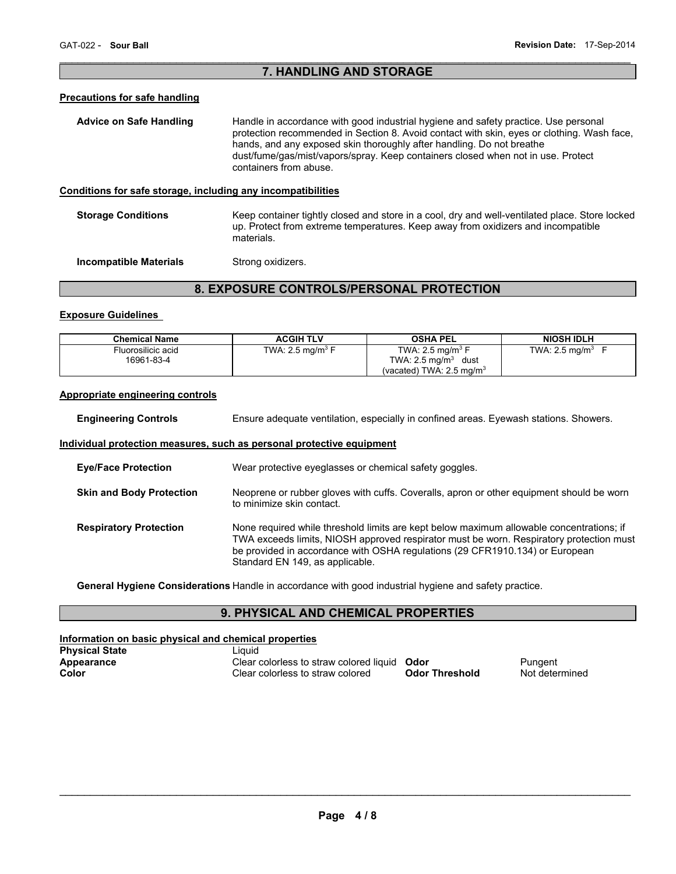# $\mathcal{L}_\mathcal{L} = \{ \mathcal{L}_\mathcal{L} = \{ \mathcal{L}_\mathcal{L} = \{ \mathcal{L}_\mathcal{L} = \{ \mathcal{L}_\mathcal{L} = \{ \mathcal{L}_\mathcal{L} = \{ \mathcal{L}_\mathcal{L} = \{ \mathcal{L}_\mathcal{L} = \{ \mathcal{L}_\mathcal{L} = \{ \mathcal{L}_\mathcal{L} = \{ \mathcal{L}_\mathcal{L} = \{ \mathcal{L}_\mathcal{L} = \{ \mathcal{L}_\mathcal{L} = \{ \mathcal{L}_\mathcal{L} = \{ \mathcal{L}_\mathcal{$ **7. HANDLING AND STORAGE**

# **Precautions for safe handling**

| <b>Advice on Safe Handling</b>                               | Handle in accordance with good industrial hygiene and safety practice. Use personal<br>protection recommended in Section 8. Avoid contact with skin, eyes or clothing. Wash face,<br>hands, and any exposed skin thoroughly after handling. Do not breathe<br>dust/fume/gas/mist/vapors/spray. Keep containers closed when not in use. Protect<br>containers from abuse. |
|--------------------------------------------------------------|--------------------------------------------------------------------------------------------------------------------------------------------------------------------------------------------------------------------------------------------------------------------------------------------------------------------------------------------------------------------------|
| Conditions for safe storage, including any incompatibilities |                                                                                                                                                                                                                                                                                                                                                                          |
| <b>Storage Conditions</b>                                    | Keep container tightly closed and store in a cool, dry and well-ventilated place. Store locked<br>up. Protect from extreme temperatures. Keep away from oxidizers and incompatible<br>materials.                                                                                                                                                                         |
| Incompatible Materials                                       | Strong oxidizers.                                                                                                                                                                                                                                                                                                                                                        |

# **8. EXPOSURE CONTROLS/PERSONAL PROTECTION**

## **Exposure Guidelines**

| <b>Chemical Name</b>             | <b>ACGIH TLV</b>            | <b>OSHA PEL</b>                                                                                          | <b>NIOSH IDLH</b> |
|----------------------------------|-----------------------------|----------------------------------------------------------------------------------------------------------|-------------------|
| Fluorosilicic acid<br>16961-83-4 | TWA: $2.5 \text{ mg/m}^3$ F | TWA: 2.5 mg/m <sup>3</sup> F<br>TWA: $2.5 \text{ mg/m}^3$<br>dust<br>(vacated) TWA: $2.5 \text{ mg/m}^3$ | TWA: 2.5 mg/m $3$ |

## **Appropriate engineering controls**

**Engineering Controls** Ensure adequate ventilation, especially in confined areas. Eyewash stations. Showers.

## **Individual protection measures, such as personal protective equipment**

| <b>Eye/Face Protection</b>      | Wear protective eyeglasses or chemical safety goggles.                                                                                                                                                                                                                                                 |
|---------------------------------|--------------------------------------------------------------------------------------------------------------------------------------------------------------------------------------------------------------------------------------------------------------------------------------------------------|
| <b>Skin and Body Protection</b> | Neoprene or rubber gloves with cuffs. Coveralls, apron or other equipment should be worn<br>to minimize skin contact.                                                                                                                                                                                  |
| <b>Respiratory Protection</b>   | None required while threshold limits are kept below maximum allowable concentrations; if<br>TWA exceeds limits, NIOSH approved respirator must be worn. Respiratory protection must<br>be provided in accordance with OSHA regulations (29 CFR1910.134) or European<br>Standard EN 149, as applicable. |

**General Hygiene Considerations** Handle in accordance with good industrial hygiene and safety practice.

# **9. PHYSICAL AND CHEMICAL PROPERTIES**

| Information on basic physical and chemical properties |                                              |                       |                |  |
|-------------------------------------------------------|----------------------------------------------|-----------------------|----------------|--|
| <b>Physical State</b>                                 | ∟iauid                                       |                       |                |  |
| Appearance                                            | Clear colorless to straw colored liquid Odor |                       | Pungent        |  |
| Color                                                 | Clear colorless to straw colored             | <b>Odor Threshold</b> | Not determined |  |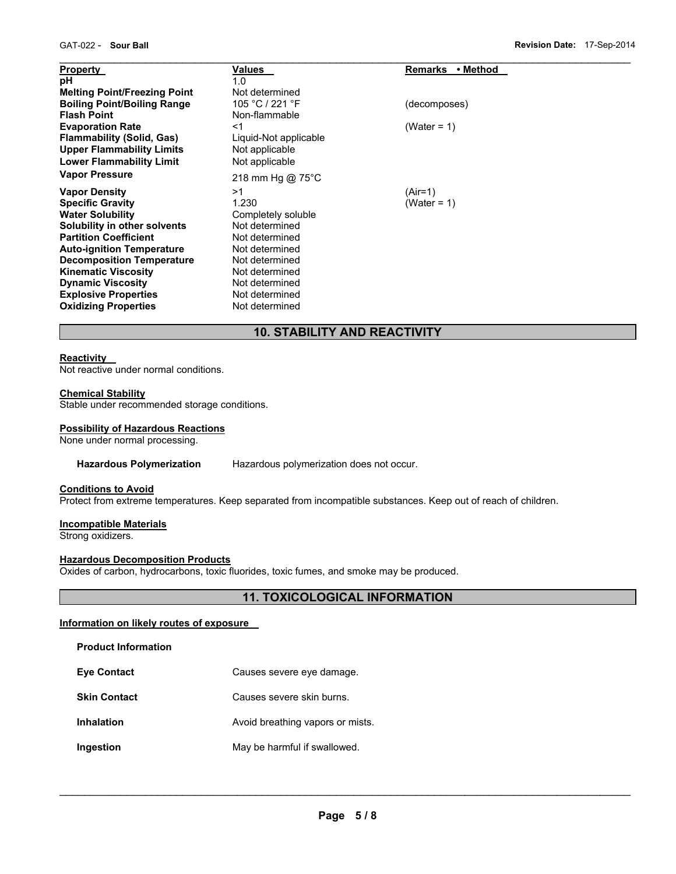| <b>Property</b>                     | Values                | <b>Remarks</b><br>• Method |  |
|-------------------------------------|-----------------------|----------------------------|--|
| рH                                  | 1.0                   |                            |  |
| <b>Melting Point/Freezing Point</b> | Not determined        |                            |  |
| <b>Boiling Point/Boiling Range</b>  | 105 °C / 221 °F       | (decomposes)               |  |
| <b>Flash Point</b>                  | Non-flammable         |                            |  |
| <b>Evaporation Rate</b>             | <1                    | (Water = $1$ )             |  |
| <b>Flammability (Solid, Gas)</b>    | Liquid-Not applicable |                            |  |
| <b>Upper Flammability Limits</b>    | Not applicable        |                            |  |
| <b>Lower Flammability Limit</b>     | Not applicable        |                            |  |
| <b>Vapor Pressure</b>               |                       |                            |  |
|                                     | 218 mm Hg @ 75°C      |                            |  |
| <b>Vapor Density</b>                | >1                    | (Air=1)                    |  |
| <b>Specific Gravity</b>             | 1.230                 | (Water = 1)                |  |
| <b>Water Solubility</b>             | Completely soluble    |                            |  |
| Solubility in other solvents        | Not determined        |                            |  |
| <b>Partition Coefficient</b>        | Not determined        |                            |  |
| <b>Auto-ignition Temperature</b>    | Not determined        |                            |  |
| <b>Decomposition Temperature</b>    | Not determined        |                            |  |
| <b>Kinematic Viscosity</b>          | Not determined        |                            |  |
| <b>Dynamic Viscosity</b>            | Not determined        |                            |  |
| <b>Explosive Properties</b>         | Not determined        |                            |  |
| <b>Oxidizing Properties</b>         | Not determined        |                            |  |

# **10. STABILITY AND REACTIVITY**

## **Reactivity**

Not reactive under normal conditions.

#### **Chemical Stability**

Stable under recommended storage conditions.

#### **Possibility of Hazardous Reactions**

None under normal processing.

#### **Hazardous Polymerization** Hazardous polymerization does not occur.

#### **Conditions to Avoid**

Protect from extreme temperatures. Keep separated from incompatible substances. Keep out of reach of children.

## **Incompatible Materials**

Strong oxidizers.

#### **Hazardous Decomposition Products**

Oxides of carbon, hydrocarbons, toxic fluorides, toxic fumes, and smoke may be produced.

# **11. TOXICOLOGICAL INFORMATION**

## **Information on likely routes of exposure**

**Product Information** 

- **Skin Contact Causes severe skin burns.**
- **Inhalation Avoid breathing vapors or mists.**
- **Ingestion May be harmful if swallowed.**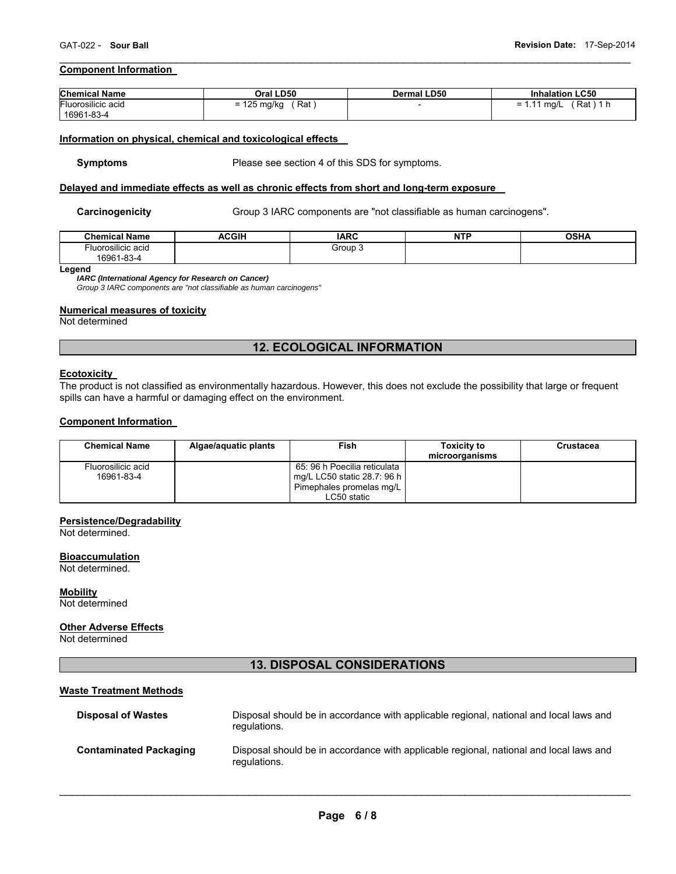## **Component Information**

| <b>Chemical Name</b> | Oral LD50            | <b>Dermal LD50</b> | <b>Inhalation LC50</b>       |
|----------------------|----------------------|--------------------|------------------------------|
| Fluorosilicic acid   | $= 125$ mg/kg<br>Rat |                    | $'$ Rat ) 1 h<br>= 1.11 ma/L |
| 16961-83-4           |                      |                    |                              |

 $\mathcal{L}_\mathcal{L} = \{ \mathcal{L}_\mathcal{L} = \{ \mathcal{L}_\mathcal{L} = \{ \mathcal{L}_\mathcal{L} = \{ \mathcal{L}_\mathcal{L} = \{ \mathcal{L}_\mathcal{L} = \{ \mathcal{L}_\mathcal{L} = \{ \mathcal{L}_\mathcal{L} = \{ \mathcal{L}_\mathcal{L} = \{ \mathcal{L}_\mathcal{L} = \{ \mathcal{L}_\mathcal{L} = \{ \mathcal{L}_\mathcal{L} = \{ \mathcal{L}_\mathcal{L} = \{ \mathcal{L}_\mathcal{L} = \{ \mathcal{L}_\mathcal{$ 

#### **Information on physical, chemical and toxicological effects**

**Symptoms** Please see section 4 of this SDS for symptoms.

#### **Delayed and immediate effects as well as chronic effects from short and long-term exposure**

Carcinogenicity **Group 3 IARC components are "not classifiable as human carcinogens".** 

| ' Name<br>Chemical             | <b>ACGIH</b> | <b>IARC</b>   | <b>NTF</b> | <b>OCUA</b><br>אחטט |
|--------------------------------|--------------|---------------|------------|---------------------|
| $\cdots$<br>-Iuorosilicic acid |              | Group<br>$ -$ |            |                     |
| $1 - 83 - 4$<br>16961          |              |               |            |                     |

**Legend** 

*IARC (International Agency for Research on Cancer)* 

*Group 3 IARC components are "not classifiable as human carcinogens"* 

## **Numerical measures of toxicity**

Not determined

# **12. ECOLOGICAL INFORMATION**

#### **Ecotoxicity**

The product is not classified as environmentally hazardous. However, this does not exclude the possibility that large or frequent spills can have a harmful or damaging effect on the environment.

#### **Component Information**

| <b>Chemical Name</b>             | Algae/aquatic plants | Fish                                                        | <b>Toxicity to</b><br>microorganisms | Crustacea |
|----------------------------------|----------------------|-------------------------------------------------------------|--------------------------------------|-----------|
| Fluorosilicic acid<br>16961-83-4 |                      | 65: 96 h Poecilia reticulata<br>mg/L LC50 static 28.7: 96 h |                                      |           |
|                                  |                      | Pimephales promelas mg/L                                    |                                      |           |
|                                  |                      | LC50 static                                                 |                                      |           |

#### **Persistence/Degradability**

Not determined.

#### **Bioaccumulation**

Not determined.

## **Mobility**

Not determined

#### **Other Adverse Effects**

Not determined

## **13. DISPOSAL CONSIDERATIONS**

## **Waste Treatment Methods**

| <b>Disposal of Wastes</b>     | Disposal should be in accordance with applicable regional, national and local laws and<br>regulations. |
|-------------------------------|--------------------------------------------------------------------------------------------------------|
| <b>Contaminated Packaging</b> | Disposal should be in accordance with applicable regional, national and local laws and<br>regulations. |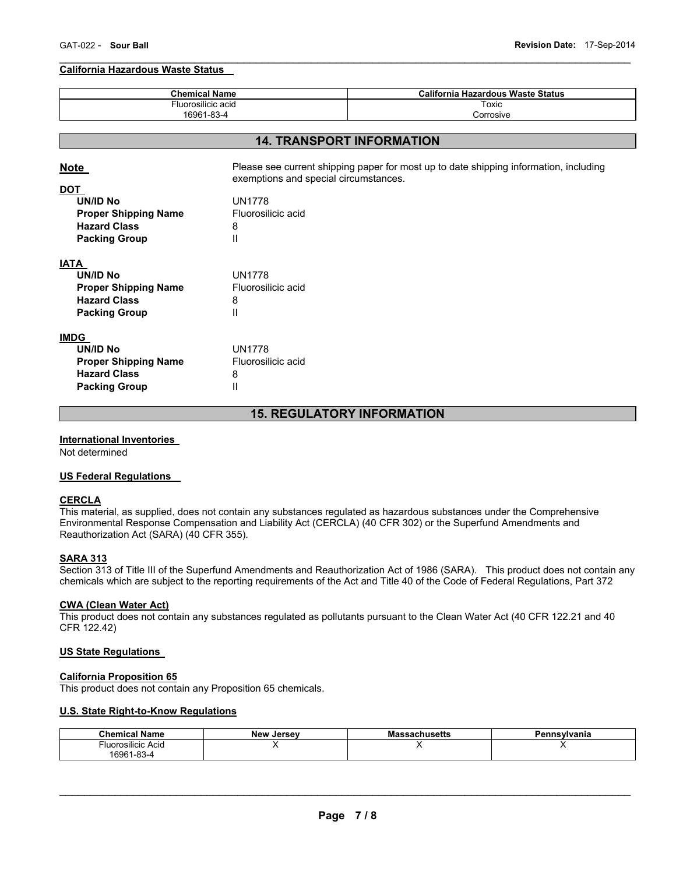#### $\mathcal{L}_\mathcal{L} = \{ \mathcal{L}_\mathcal{L} = \{ \mathcal{L}_\mathcal{L} = \{ \mathcal{L}_\mathcal{L} = \{ \mathcal{L}_\mathcal{L} = \{ \mathcal{L}_\mathcal{L} = \{ \mathcal{L}_\mathcal{L} = \{ \mathcal{L}_\mathcal{L} = \{ \mathcal{L}_\mathcal{L} = \{ \mathcal{L}_\mathcal{L} = \{ \mathcal{L}_\mathcal{L} = \{ \mathcal{L}_\mathcal{L} = \{ \mathcal{L}_\mathcal{L} = \{ \mathcal{L}_\mathcal{L} = \{ \mathcal{L}_\mathcal{$ **California Hazardous Waste Status**

| <b>Chemical Name</b><br>Fluorosilicic acid<br>16961-83-4 |                                                                                                                                | <b>California Hazardous Waste Status</b><br>Toxic |  |  |
|----------------------------------------------------------|--------------------------------------------------------------------------------------------------------------------------------|---------------------------------------------------|--|--|
|                                                          |                                                                                                                                |                                                   |  |  |
|                                                          |                                                                                                                                |                                                   |  |  |
|                                                          |                                                                                                                                | <b>14. TRANSPORT INFORMATION</b>                  |  |  |
| <b>Note</b>                                              | Please see current shipping paper for most up to date shipping information, including<br>exemptions and special circumstances. |                                                   |  |  |
| <b>DOT</b>                                               |                                                                                                                                |                                                   |  |  |
| <b>UN/ID No</b>                                          | <b>UN1778</b>                                                                                                                  |                                                   |  |  |
| <b>Proper Shipping Name</b>                              | Fluorosilicic acid                                                                                                             |                                                   |  |  |
| <b>Hazard Class</b>                                      | 8                                                                                                                              |                                                   |  |  |
| <b>Packing Group</b>                                     | Ш                                                                                                                              |                                                   |  |  |
| IATA                                                     |                                                                                                                                |                                                   |  |  |
| <b>UN/ID No</b>                                          | <b>UN1778</b>                                                                                                                  |                                                   |  |  |
| <b>Proper Shipping Name</b>                              | Fluorosilicic acid                                                                                                             |                                                   |  |  |
| <b>Hazard Class</b>                                      | 8                                                                                                                              |                                                   |  |  |
| <b>Packing Group</b>                                     | Ш                                                                                                                              |                                                   |  |  |
| <b>IMDG</b>                                              |                                                                                                                                |                                                   |  |  |
| <b>UN/ID No</b>                                          | <b>UN1778</b>                                                                                                                  |                                                   |  |  |
| <b>Proper Shipping Name</b>                              | Fluorosilicic acid                                                                                                             |                                                   |  |  |
| <b>Hazard Class</b>                                      | 8                                                                                                                              |                                                   |  |  |
| <b>Packing Group</b>                                     | Ш                                                                                                                              |                                                   |  |  |
|                                                          |                                                                                                                                |                                                   |  |  |

# **15. REGULATORY INFORMATION**

## **International Inventories**

Not determined

## **US Federal Regulations**

#### **CERCLA**

This material, as supplied, does not contain any substances regulated as hazardous substances under the Comprehensive Environmental Response Compensation and Liability Act (CERCLA) (40 CFR 302) or the Superfund Amendments and Reauthorization Act (SARA) (40 CFR 355).

## **SARA 313**

Section 313 of Title III of the Superfund Amendments and Reauthorization Act of 1986 (SARA). This product does not contain any chemicals which are subject to the reporting requirements of the Act and Title 40 of the Code of Federal Regulations, Part 372

#### **CWA (Clean Water Act)**

This product does not contain any substances regulated as pollutants pursuant to the Clean Water Act (40 CFR 122.21 and 40 CFR 122.42)

#### **US State Regulations**

#### **California Proposition 65**

This product does not contain any Proposition 65 chemicals.

# **U.S. State Right-to-Know Regulations**

| <b>Name</b><br>Chemical        | New<br>. Jersev | ssachusetts<br>mas | <b>nsylvania</b> |
|--------------------------------|-----------------|--------------------|------------------|
| <sup>⊑</sup> luorosilicic Acid |                 |                    |                  |
| 16961-83-4                     |                 |                    |                  |